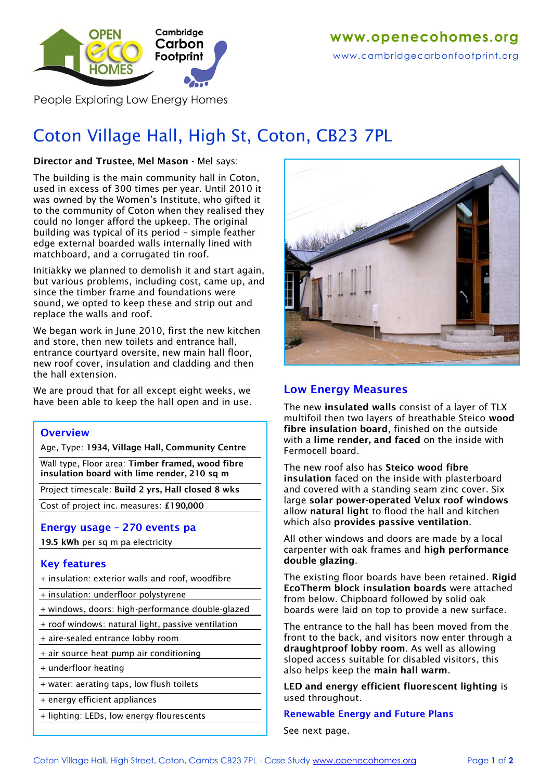

People Exploring Low Energy Homes

# Coton Village Hall, High St, Coton, CB23 7PL

### **Director and Trustee, Mel Mason -** Mel says:

The building is the main community hall in Coton, used in excess of 300 times per year. Until 2010 it was owned by the Women's Institute, who gifted it to the community of Coton when they realised they could no longer afford the upkeep. The original building was typical of its period – simple feather edge external boarded walls internally lined with matchboard, and a corrugated tin roof.

Initiakky we planned to demolish it and start again, but various problems, including cost, came up, and since the timber frame and foundations were sound, we opted to keep these and strip out and replace the walls and roof.

We began work in June 2010, first the new kitchen and store, then new toilets and entrance hall, entrance courtyard oversite, new main hall floor, new roof cover, insulation and cladding and then the hall extension.

We are proud that for all except eight weeks, we have been able to keep the hall open and in use.

### **Overview**

Age, Type: **1934, Village Hall, Community Centre**

Wall type, Floor area: **Timber framed, wood fibre insulation board with lime render, 210 sq m**

Project timescale: **Build 2 yrs, Hall closed 8 wks**

Cost of project inc. measures: **£190,000**

### **Energy usage – 270 events pa**

**19.5 kWh** per sq m pa electricity

### **Key features**

+ insulation: exterior walls and roof, woodfibre

- + insulation: underfloor polystyrene
- + windows, doors: high-performance double-glazed
- + roof windows: natural light, passive ventilation
- + aire-sealed entrance lobby room
- + air source heat pump air conditioning
- + underfloor heating
- + water: aerating taps, low flush toilets
- + energy efficient appliances
- + lighting: LEDs, low energy flourescents



### **Low Energy Measures**

The new **insulated walls** consist of a layer of TLX multifoil then two layers of breathable Steico **wood fibre insulation board**, finished on the outside with a **lime render, and faced** on the inside with Fermocell board.

The new roof also has **Steico wood fibre insulation** faced on the inside with plasterboard and covered with a standing seam zinc cover. Six large **solar power-operated Velux roof windows** allow **natural light** to flood the hall and kitchen which also **provides passive ventilation**.

All other windows and doors are made by a local carpenter with oak frames and **high performance double glazing**.

The existing floor boards have been retained. **Rigid EcoTherm block insulation boards** were attached from below. Chipboard followed by solid oak boards were laid on top to provide a new surface.

The entrance to the hall has been moved from the front to the back, and visitors now enter through a **draughtproof lobby room**. As well as allowing sloped access suitable for disabled visitors, this also helps keep the **main hall warm**.

**LED and energy efficient fluorescent lighting** is used throughout.

#### **Renewable Energy and Future Plans**

See next page.